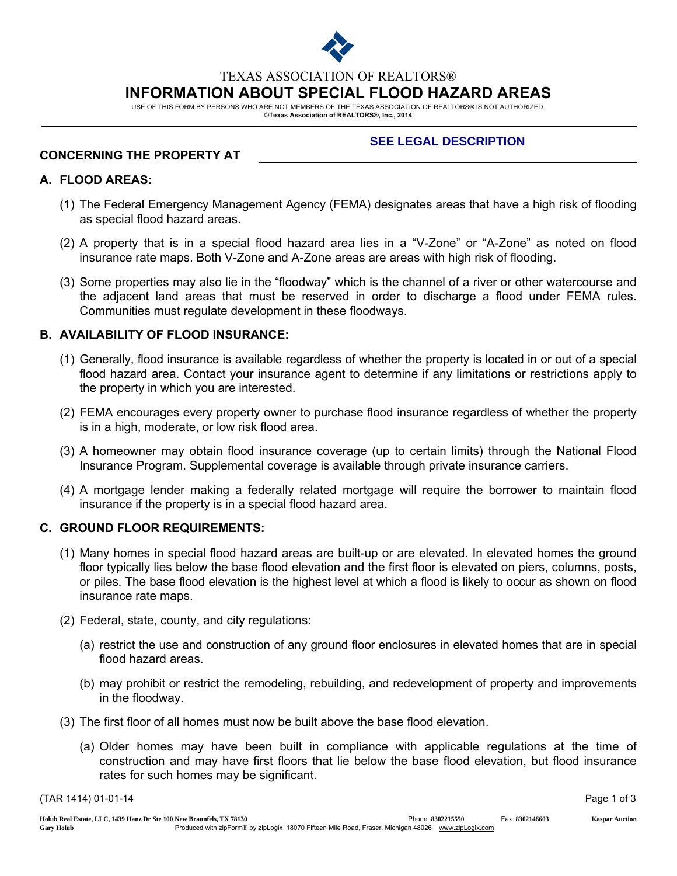

TEXAS ASSOCIATION OF REALTORS®

INFORMATION ABOUT SPECIAL FLOOD HAZARD AREAS

USE OF THIS FORM BY PERSONS WHO ARE NOT MEMBERS OF THE TEXAS ASSOCIATION OF REALTORS® IS NOT AUTHORIZED. ©Texas Association of REALTORS®, Inc., 2014

## CONCERNING THE PROPERTY AT

# **SEE LEGAL DESCRIPTION**

## A. FLOOD AREAS:

- (1) The Federal Emergency Management Agency (FEMA) designates areas that have a high risk of flooding as special flood hazard areas.
- (2) A property that is in a special flood hazard area lies in a "V-Zone" or "A-Zone" as noted on flood insurance rate maps. Both V-Zone and A-Zone areas are areas with high risk of flooding.
- (3) Some properties may also lie in the "floodway" which is the channel of a river or other watercourse and the adjacent land areas that must be reserved in order to discharge a flood under FEMA rules. Communities must regulate development in these floodways.

# B. AVAILABILITY OF FLOOD INSURANCE:

- (1) Generally, flood insurance is available regardless of whether the property is located in or out of a special flood hazard area. Contact your insurance agent to determine if any limitations or restrictions apply to the property in which you are interested.
- (2) FEMA encourages every property owner to purchase flood insurance regardless of whether the property is in a high, moderate, or low risk flood area.
- (3) A homeowner may obtain flood insurance coverage (up to certain limits) through the National Flood Insurance Program. Supplemental coverage is available through private insurance carriers.
- (4) A mortgage lender making a federally related mortgage will require the borrower to maintain flood insurance if the property is in a special flood hazard area.

### C. GROUND FLOOR REQUIREMENTS:

- (1) Many homes in special flood hazard areas are built-up or are elevated. In elevated homes the ground floor typically lies below the base flood elevation and the first floor is elevated on piers, columns, posts, or piles. The base flood elevation is the highest level at which a flood is likely to occur as shown on flood insurance rate maps.
- (2) Federal, state, county, and city regulations:
	- (a) restrict the use and construction of any ground floor enclosures in elevated homes that are in special flood hazard areas.
	- (b) may prohibit or restrict the remodeling, rebuilding, and redevelopment of property and improvements in the floodway.
- (3) The first floor of all homes must now be built above the base flood elevation.
	- (a) Older homes may have been built in compliance with applicable regulations at the time of construction and may have first floors that lie below the base flood elevation, but flood insurance rates for such homes may be significant.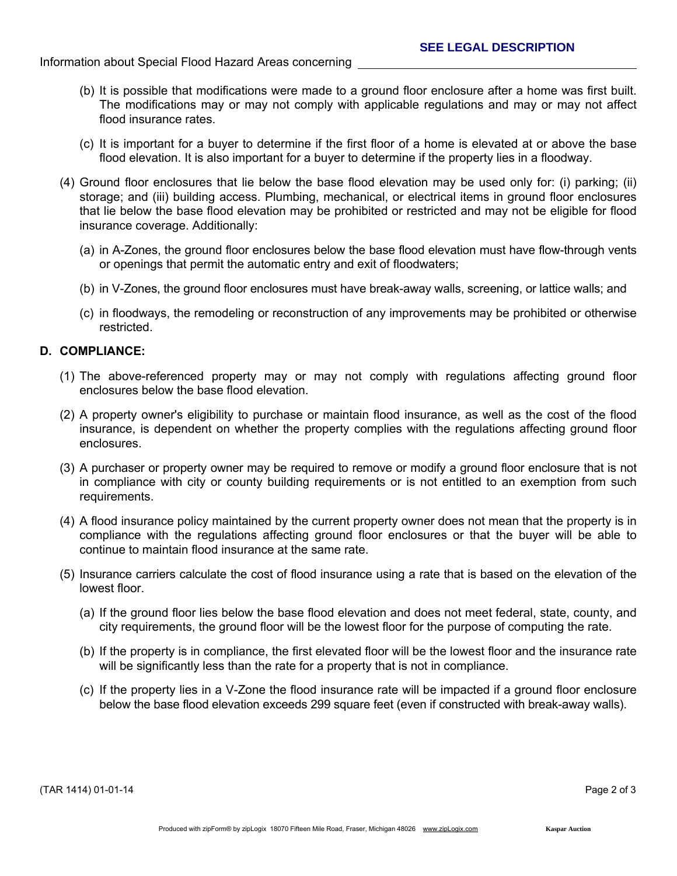- (b) It is possible that modifications were made to a ground floor enclosure after a home was first built. The modifications may or may not comply with applicable regulations and may or may not affect flood insurance rates.
- (c) It is important for a buyer to determine if the first floor of a home is elevated at or above the base flood elevation. It is also important for a buyer to determine if the property lies in a floodway.
- (4) Ground floor enclosures that lie below the base flood elevation may be used only for: (i) parking; (ii) storage; and (iii) building access. Plumbing, mechanical, or electrical items in ground floor enclosures that lie below the base flood elevation may be prohibited or restricted and may not be eligible for flood insurance coverage. Additionally:
	- (a) in A-Zones, the ground floor enclosures below the base flood elevation must have flow-through vents or openings that permit the automatic entry and exit of floodwaters;
	- (b) in V-Zones, the ground floor enclosures must have break-away walls, screening, or lattice walls; and
	- (c) in floodways, the remodeling or reconstruction of any improvements may be prohibited or otherwise restricted.

### D. COMPLIANCE:

- (1) The above-referenced property may or may not comply with regulations affecting ground floor enclosures below the base flood elevation.
- (2) A property owner's eligibility to purchase or maintain flood insurance, as well as the cost of the flood insurance, is dependent on whether the property complies with the regulations affecting ground floor enclosures.
- (3) A purchaser or property owner may be required to remove or modify a ground floor enclosure that is not in compliance with city or county building requirements or is not entitled to an exemption from such requirements.
- (4) A flood insurance policy maintained by the current property owner does not mean that the property is in compliance with the regulations affecting ground floor enclosures or that the buyer will be able to continue to maintain flood insurance at the same rate.
- (5) Insurance carriers calculate the cost of flood insurance using a rate that is based on the elevation of the lowest floor.
	- (a) If the ground floor lies below the base flood elevation and does not meet federal, state, county, and city requirements, the ground floor will be the lowest floor for the purpose of computing the rate.
	- (b) If the property is in compliance, the first elevated floor will be the lowest floor and the insurance rate will be significantly less than the rate for a property that is not in compliance.
	- (c) If the property lies in a V-Zone the flood insurance rate will be impacted if a ground floor enclosure below the base flood elevation exceeds 299 square feet (even if constructed with break-away walls).

(TAR 1414) 01-01-14 Page 2 of 3